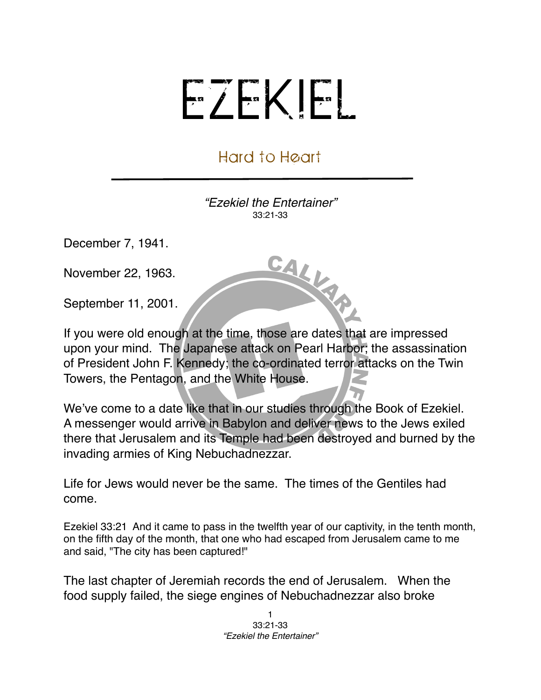## EZEKIEL

## Hard to Heart

## *"Ezekiel the Entertainer"* 33:21-33

CALLED

December 7, 1941.

November 22, 1963.

September 11, 2001.

If you were old enough at the time, those are dates that are impressed upon your mind. The Japanese attack on Pearl Harbor; the assassination of President John F. Kennedy; the co-ordinated terror attacks on the Twin Towers, the Pentagon, and the White House.

We've come to a date like that in our studies through the Book of Ezekiel. A messenger would arrive in Babylon and deliver news to the Jews exiled there that Jerusalem and its Temple had been destroyed and burned by the invading armies of King Nebuchadnezzar.

Life for Jews would never be the same. The times of the Gentiles had come.

Ezekiel 33:21 And it came to pass in the twelfth year of our captivity, in the tenth month, on the fifth day of the month, that one who had escaped from Jerusalem came to me and said, "The city has been captured!"

The last chapter of Jeremiah records the end of Jerusalem. When the food supply failed, the siege engines of Nebuchadnezzar also broke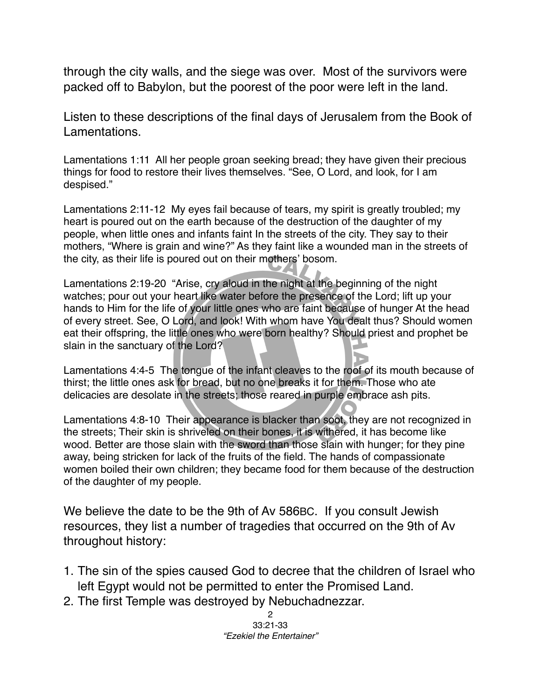through the city walls, and the siege was over. Most of the survivors were packed off to Babylon, but the poorest of the poor were left in the land.

Listen to these descriptions of the final days of Jerusalem from the Book of Lamentations.

Lamentations 1:11 All her people groan seeking bread; they have given their precious things for food to restore their lives themselves. "See, O Lord, and look, for I am despised."

Lamentations 2:11-12 My eyes fail because of tears, my spirit is greatly troubled; my heart is poured out on the earth because of the destruction of the daughter of my people, when little ones and infants faint In the streets of the city. They say to their mothers, "Where is grain and wine?" As they faint like a wounded man in the streets of the city, as their life is poured out on their mothers' bosom.

Lamentations 2:19-20 "Arise, cry aloud in the night at the beginning of the night watches; pour out your heart like water before the presence of the Lord; lift up your hands to Him for the life of your little ones who are faint because of hunger At the head of every street. See, O Lord, and look! With whom have You dealt thus? Should women eat their offspring, the little ones who were born healthy? Should priest and prophet be slain in the sanctuary of the Lord?

Lamentations 4:4-5 The tongue of the infant cleaves to the roof of its mouth because of thirst; the little ones ask for bread, but no one breaks it for them. Those who ate delicacies are desolate in the streets; those reared in purple embrace ash pits.

Lamentations 4:8-10 Their appearance is blacker than soot, they are not recognized in the streets; Their skin is shriveled on their bones, it is withered, it has become like wood. Better are those slain with the sword than those slain with hunger; for they pine away, being stricken for lack of the fruits of the field. The hands of compassionate women boiled their own children; they became food for them because of the destruction of the daughter of my people.

We believe the date to be the 9th of Av 586BC. If you consult Jewish resources, they list a number of tragedies that occurred on the 9th of Av throughout history:

- 1. The sin of the spies caused God to decree that the children of Israel who left Egypt would not be permitted to enter the Promised Land.
- 2. The first Temple was destroyed by Nebuchadnezzar.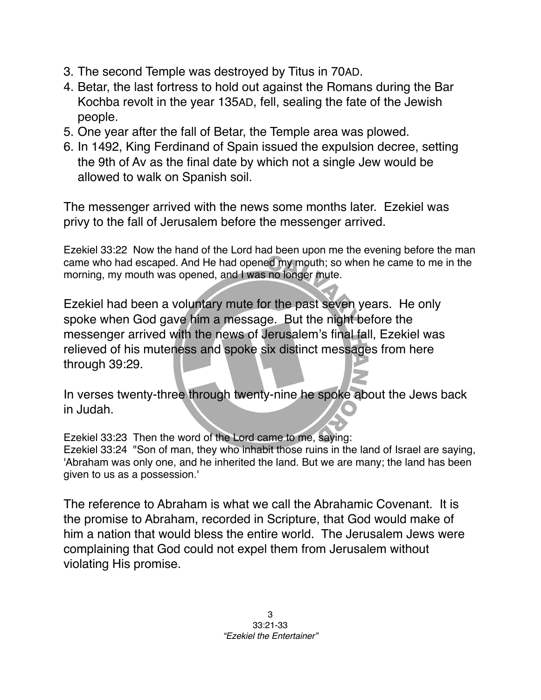- 3. The second Temple was destroyed by Titus in 70AD.
- 4. Betar, the last fortress to hold out against the Romans during the Bar Kochba revolt in the year 135AD, fell, sealing the fate of the Jewish people.
- 5. One year after the fall of Betar, the Temple area was plowed.
- 6. In 1492, King Ferdinand of Spain issued the expulsion decree, setting the 9th of Av as the final date by which not a single Jew would be allowed to walk on Spanish soil.

The messenger arrived with the news some months later. Ezekiel was privy to the fall of Jerusalem before the messenger arrived.

Ezekiel 33:22 Now the hand of the Lord had been upon me the evening before the man came who had escaped. And He had opened my mouth; so when he came to me in the morning, my mouth was opened, and I was no longer mute.

Ezekiel had been a voluntary mute for the past seven years. He only spoke when God gave him a message. But the night before the messenger arrived with the news of Jerusalem's final fall, Ezekiel was relieved of his muteness and spoke six distinct messages from here through 39:29.

In verses twenty-three through twenty-nine he spoke about the Jews back in Judah.

Ezekiel 33:23 Then the word of the Lord came to me, saying:

Ezekiel 33:24 "Son of man, they who inhabit those ruins in the land of Israel are saying, 'Abraham was only one, and he inherited the land. But we are many; the land has been given to us as a possession.'

The reference to Abraham is what we call the Abrahamic Covenant. It is the promise to Abraham, recorded in Scripture, that God would make of him a nation that would bless the entire world. The Jerusalem Jews were complaining that God could not expel them from Jerusalem without violating His promise.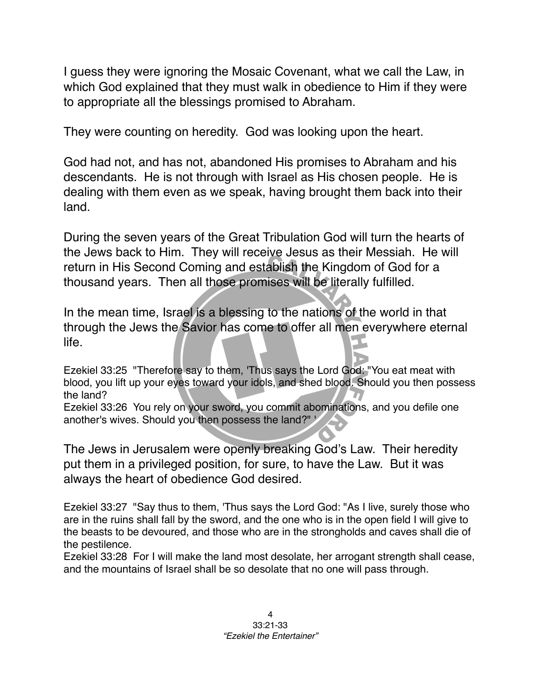I guess they were ignoring the Mosaic Covenant, what we call the Law, in which God explained that they must walk in obedience to Him if they were to appropriate all the blessings promised to Abraham.

They were counting on heredity. God was looking upon the heart.

God had not, and has not, abandoned His promises to Abraham and his descendants. He is not through with Israel as His chosen people. He is dealing with them even as we speak, having brought them back into their land.

During the seven years of the Great Tribulation God will turn the hearts of the Jews back to Him. They will receive Jesus as their Messiah. He will return in His Second Coming and establish the Kingdom of God for a thousand years. Then all those promises will be literally fulfilled.

In the mean time, Israel is a blessing to the nations of the world in that through the Jews the Savior has come to offer all men everywhere eternal life.

Ezekiel 33:25 "Therefore say to them, 'Thus says the Lord God: "You eat meat with blood, you lift up your eyes toward your idols, and shed blood. Should you then possess the land?

Ezekiel 33:26 You rely on your sword, you commit abominations, and you defile one another's wives. Should you then possess the land?" '

The Jews in Jerusalem were openly breaking God's Law. Their heredity put them in a privileged position, for sure, to have the Law. But it was always the heart of obedience God desired.

Ezekiel 33:27 "Say thus to them, 'Thus says the Lord God: "As I live, surely those who are in the ruins shall fall by the sword, and the one who is in the open field I will give to the beasts to be devoured, and those who are in the strongholds and caves shall die of the pestilence.

Ezekiel 33:28 For I will make the land most desolate, her arrogant strength shall cease, and the mountains of Israel shall be so desolate that no one will pass through.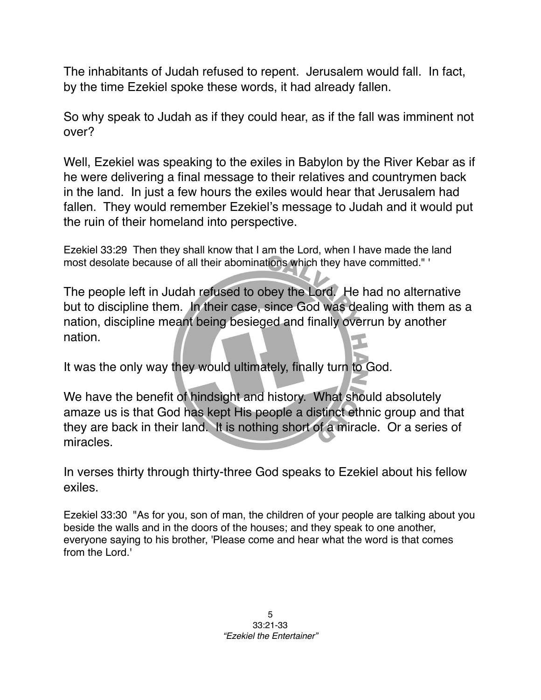The inhabitants of Judah refused to repent. Jerusalem would fall. In fact, by the time Ezekiel spoke these words, it had already fallen.

So why speak to Judah as if they could hear, as if the fall was imminent not over?

Well, Ezekiel was speaking to the exiles in Babylon by the River Kebar as if he were delivering a final message to their relatives and countrymen back in the land. In just a few hours the exiles would hear that Jerusalem had fallen. They would remember Ezekiel's message to Judah and it would put the ruin of their homeland into perspective.

Ezekiel 33:29 Then they shall know that I am the Lord, when I have made the land most desolate because of all their abominations which they have committed." '

The people left in Judah refused to obey the Lord. He had no alternative but to discipline them. In their case, since God was dealing with them as a nation, discipline meant being besieged and finally overrun by another nation.

It was the only way they would ultimately, finally turn to God.

We have the benefit of hindsight and history. What should absolutely amaze us is that God has kept His people a distinct ethnic group and that they are back in their land. It is nothing short of a miracle. Or a series of miracles.

In verses thirty through thirty-three God speaks to Ezekiel about his fellow exiles.

Ezekiel 33:30 "As for you, son of man, the children of your people are talking about you beside the walls and in the doors of the houses; and they speak to one another, everyone saying to his brother, 'Please come and hear what the word is that comes from the Lord.'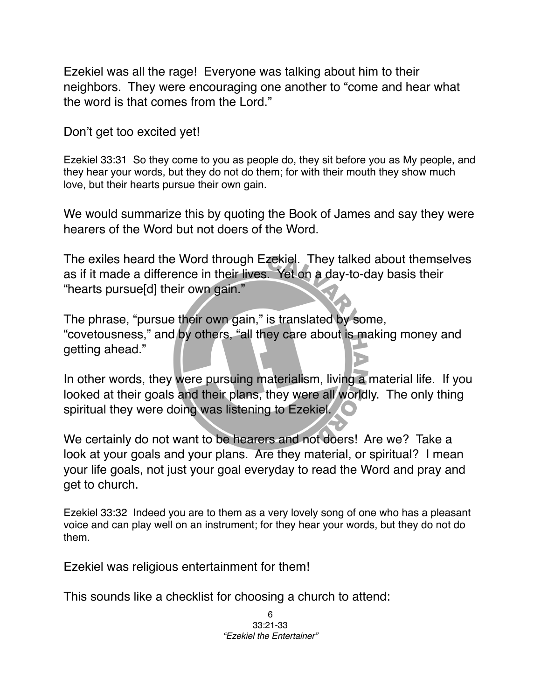Ezekiel was all the rage! Everyone was talking about him to their neighbors. They were encouraging one another to "come and hear what the word is that comes from the Lord."

Don't get too excited yet!

Ezekiel 33:31 So they come to you as people do, they sit before you as My people, and they hear your words, but they do not do them; for with their mouth they show much love, but their hearts pursue their own gain.

We would summarize this by quoting the Book of James and say they were hearers of the Word but not doers of the Word.

The exiles heard the Word through Ezekiel. They talked about themselves as if it made a difference in their lives. Yet on a day-to-day basis their "hearts pursue[d] their own gain."

The phrase, "pursue their own gain," is translated by some, "covetousness," and by others, "all they care about is making money and getting ahead."

In other words, they were pursuing materialism, living a material life. If you looked at their goals and their plans, they were all worldly. The only thing spiritual they were doing was listening to Ezekiel.

We certainly do not want to be hearers and not doers! Are we? Take a look at your goals and your plans. Are they material, or spiritual? I mean your life goals, not just your goal everyday to read the Word and pray and get to church.

Ezekiel 33:32 Indeed you are to them as a very lovely song of one who has a pleasant voice and can play well on an instrument; for they hear your words, but they do not do them.

Ezekiel was religious entertainment for them!

This sounds like a checklist for choosing a church to attend: